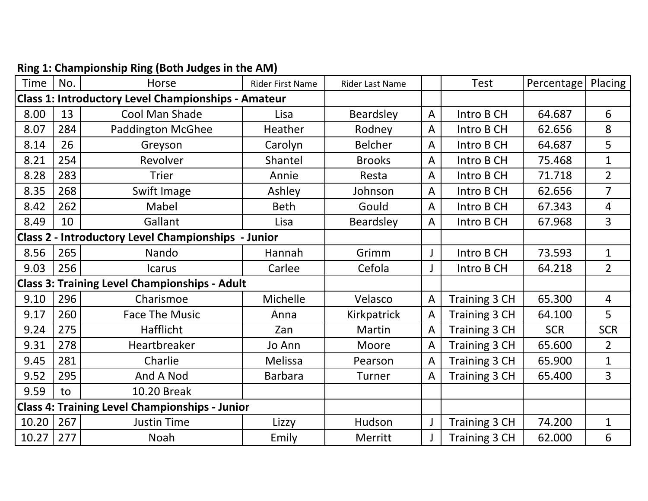| <b>Time</b>                                                | No. | Horse                                                      | <b>Rider First Name</b> | Rider Last Name |   | <b>Test</b>          | Percentage | Placing        |
|------------------------------------------------------------|-----|------------------------------------------------------------|-------------------------|-----------------|---|----------------------|------------|----------------|
|                                                            |     | <b>Class 1: Introductory Level Championships - Amateur</b> |                         |                 |   |                      |            |                |
| 8.00                                                       | 13  | Cool Man Shade                                             | Lisa                    | Beardsley       | A | Intro B CH           | 64.687     | 6              |
| 8.07                                                       | 284 | <b>Paddington McGhee</b>                                   | Heather                 | Rodney          | A | Intro B CH           | 62.656     | 8              |
| 8.14                                                       | 26  | Greyson                                                    | Carolyn                 | <b>Belcher</b>  | A | Intro B CH           | 64.687     | 5              |
| 8.21                                                       | 254 | Revolver                                                   | Shantel                 | <b>Brooks</b>   | A | Intro B CH           | 75.468     | $\mathbf{1}$   |
| 8.28                                                       | 283 | <b>Trier</b>                                               | Annie                   | Resta           | A | Intro B CH           | 71.718     | $\overline{2}$ |
| 8.35                                                       | 268 | Swift Image                                                | Ashley                  | Johnson         | A | Intro B CH           | 62.656     | $\overline{7}$ |
| 8.42                                                       | 262 | Mabel                                                      | <b>Beth</b>             | Gould           | A | Intro B CH           | 67.343     | 4              |
| 8.49                                                       | 10  | Gallant                                                    | Lisa                    | Beardsley       | A | Intro B CH           | 67.968     | $\overline{3}$ |
| <b>Class 2 - Introductory Level Championships - Junior</b> |     |                                                            |                         |                 |   |                      |            |                |
| 8.56                                                       | 265 | Nando                                                      | Hannah                  | Grimm           |   | Intro B CH           | 73.593     | $\mathbf{1}$   |
| 9.03                                                       | 256 | <b>Icarus</b>                                              | Carlee                  | Cefola          |   | Intro B CH           | 64.218     | $\overline{2}$ |
| <b>Class 3: Training Level Championships - Adult</b>       |     |                                                            |                         |                 |   |                      |            |                |
| 9.10                                                       | 296 | Charismoe                                                  | Michelle                | Velasco         | A | Training 3 CH        | 65.300     | $\overline{4}$ |
| 9.17                                                       | 260 | <b>Face The Music</b>                                      | Anna                    | Kirkpatrick     | A | Training 3 CH        | 64.100     | 5              |
| 9.24                                                       | 275 | <b>Hafflicht</b>                                           | Zan                     | <b>Martin</b>   | A | Training 3 CH        | <b>SCR</b> | <b>SCR</b>     |
| 9.31                                                       | 278 | Heartbreaker                                               | Jo Ann                  | Moore           | A | Training 3 CH        | 65.600     | $\overline{2}$ |
| 9.45                                                       | 281 | Charlie                                                    | Melissa                 | Pearson         | A | <b>Training 3 CH</b> | 65.900     | $\mathbf{1}$   |
| 9.52                                                       | 295 | And A Nod                                                  | <b>Barbara</b>          | <b>Turner</b>   | A | Training 3 CH        | 65.400     | $\overline{3}$ |
| 9.59                                                       | to  | 10.20 Break                                                |                         |                 |   |                      |            |                |
|                                                            |     | <b>Class 4: Training Level Championships - Junior</b>      |                         |                 |   |                      |            |                |
| 10.20                                                      | 267 | <b>Justin Time</b>                                         | Lizzy                   | Hudson          | J | Training 3 CH        | 74.200     | 1              |
| 10.27                                                      | 277 | <b>Noah</b>                                                | Emily                   | Merritt         |   | Training 3 CH        | 62.000     | 6              |

## **Ring 1: Championship Ring (Both Judges in the AM)**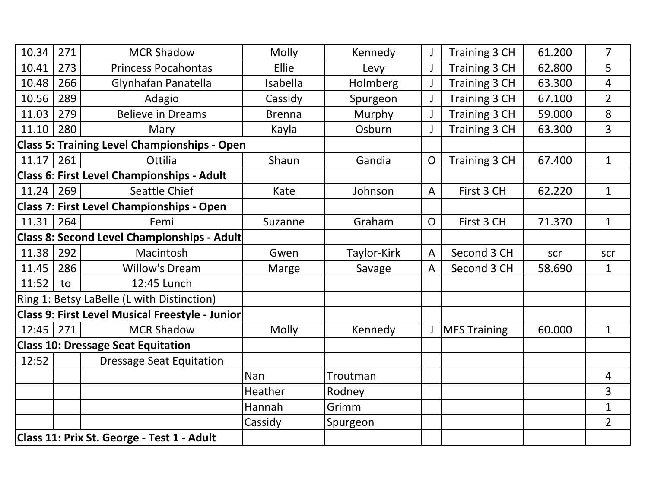| 10.34         | 271 | <b>MCR Shadow</b>                                   | Molly         | Kennedy     | J              | Training 3 CH<br>61.200 |        | $\overline{7}$ |
|---------------|-----|-----------------------------------------------------|---------------|-------------|----------------|-------------------------|--------|----------------|
| 10.41         | 273 | <b>Princess Pocahontas</b>                          | Ellie         | Levy        | J              | Training 3 CH<br>62.800 |        | 5              |
| 10.48         | 266 | Glynhafan Panatella                                 | Isabella      | Holmberg    |                | Training 3 CH<br>63.300 |        | $\overline{4}$ |
| 10.56         | 289 | Adagio                                              | Cassidy       | Spurgeon    | J              | Training 3 CH           | 67.100 | $\overline{2}$ |
| 11.03         | 279 | <b>Believe in Dreams</b>                            | <b>Brenna</b> | Murphy      |                | Training 3 CH           | 8      |                |
| 11.10         | 280 | Mary                                                | Kayla         | Osburn      |                | Training 3 CH           | 63.300 | $\overline{3}$ |
|               |     | <b>Class 5: Training Level Championships - Open</b> |               |             |                |                         |        |                |
| 11.17         | 261 | Ottilia                                             | Shaun         | Gandia      | $\overline{O}$ | Training 3 CH           | 67.400 | $\mathbf{1}$   |
|               |     | Class 6: First Level Championships - Adult          |               |             |                |                         |        |                |
| 11.24         | 269 | Seattle Chief                                       | Kate          | Johnson     | $\overline{A}$ | First 3 CH              | 62.220 | $\mathbf{1}$   |
|               |     | <b>Class 7: First Level Championships - Open</b>    |               |             |                |                         |        |                |
| 11.31         | 264 | Femi                                                | Suzanne       | Graham      | $\mathsf{O}$   | First 3 CH              | 71.370 | $\mathbf{1}$   |
|               |     | Class 8: Second Level Championships - Adult         |               |             |                |                         |        |                |
| 11.38         | 292 | Macintosh                                           | Gwen          | Taylor-Kirk | $\overline{A}$ | Second 3 CH             | scr    | scr            |
| 11.45         | 286 | <b>Willow's Dream</b>                               | Marge         | Savage      | $\overline{A}$ | Second 3 CH             | 58.690 | $\mathbf{1}$   |
| 11:52         | to  | 12:45 Lunch                                         |               |             |                |                         |        |                |
|               |     | Ring 1: Betsy LaBelle (L with Distinction)          |               |             |                |                         |        |                |
|               |     | Class 9: First Level Musical Freestyle - Junior     |               |             |                |                         |        |                |
| $12:45$   271 |     | <b>MCR Shadow</b>                                   | <b>Molly</b>  | Kennedy     |                | <b>MFS Training</b>     | 60.000 | $\mathbf{1}$   |
|               |     | <b>Class 10: Dressage Seat Equitation</b>           |               |             |                |                         |        |                |
| 12:52         |     | <b>Dressage Seat Equitation</b>                     |               |             |                |                         |        |                |
|               |     |                                                     | <b>Nan</b>    | Troutman    |                |                         |        | $\overline{4}$ |
|               |     |                                                     | Heather       | Rodney      |                |                         |        | $\overline{3}$ |
|               |     |                                                     | Hannah        | Grimm       |                |                         |        | $\mathbf{1}$   |
|               |     |                                                     | Cassidy       | Spurgeon    |                |                         |        | $\overline{2}$ |
|               |     | Class 11: Prix St. George - Test 1 - Adult          |               |             |                |                         |        |                |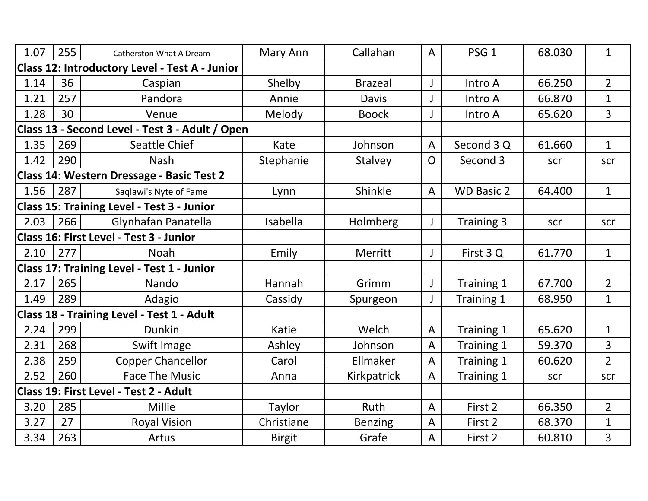| 1.07                                            | 255 | Catherston What A Dream                               | Mary Ann      | Callahan       | $\overline{A}$ | PSG <sub>1</sub>  | 68.030 | $\mathbf{1}$   |
|-------------------------------------------------|-----|-------------------------------------------------------|---------------|----------------|----------------|-------------------|--------|----------------|
|                                                 |     | <b>Class 12: Introductory Level - Test A - Junior</b> |               |                |                |                   |        |                |
| 1.14                                            | 36  | Caspian                                               | Shelby        | <b>Brazeal</b> |                | Intro A           | 66.250 | $\overline{2}$ |
| 1.21                                            | 257 | Pandora                                               | Annie         | <b>Davis</b>   |                | Intro A           | 66.870 |                |
| 1.28                                            | 30  | Venue                                                 | Melody        | <b>Boock</b>   |                | Intro A           | 65.620 | 3              |
| Class 13 - Second Level - Test 3 - Adult / Open |     |                                                       |               |                |                |                   |        |                |
| 1.35                                            | 269 | <b>Seattle Chief</b>                                  | Kate          | Johnson        | $\overline{A}$ | Second 3 Q        | 61.660 | $\mathbf{1}$   |
| 1.42                                            | 290 | <b>Nash</b>                                           | Stephanie     | <b>Stalvey</b> | $\mathsf{O}$   | Second 3          | scr    | scr            |
|                                                 |     | Class 14: Western Dressage - Basic Test 2             |               |                |                |                   |        |                |
| 1.56                                            | 287 | Saglawi's Nyte of Fame                                | Lynn          | Shinkle        | $\overline{A}$ | <b>WD Basic 2</b> | 64.400 | $\mathbf{1}$   |
|                                                 |     | <b>Class 15: Training Level - Test 3 - Junior</b>     |               |                |                |                   |        |                |
| 2.03                                            | 266 | Glynhafan Panatella                                   | Isabella      | Holmberg       |                | Training 3        | scr    | scr            |
|                                                 |     | Class 16: First Level - Test 3 - Junior               |               |                |                |                   |        |                |
| 2.10                                            | 277 | <b>Noah</b>                                           | Emily         | Merritt        | $\mathsf{J}$   | First 3Q          | 61.770 | $\mathbf{1}$   |
|                                                 |     | <b>Class 17: Training Level - Test 1 - Junior</b>     |               |                |                |                   |        |                |
| 2.17                                            | 265 | Nando                                                 | Hannah        | Grimm          | J              | Training 1        | 67.700 | $\overline{2}$ |
| 1.49                                            | 289 | Adagio                                                | Cassidy       | Spurgeon       | $\mathsf{l}$   | Training 1        | 68.950 | $\mathbf 1$    |
|                                                 |     | Class 18 - Training Level - Test 1 - Adult            |               |                |                |                   |        |                |
| 2.24                                            | 299 | <b>Dunkin</b>                                         | Katie         | Welch          | $\overline{A}$ | Training 1        | 65.620 | $\mathbf{1}$   |
| 2.31                                            | 268 | Swift Image                                           | Ashley        | Johnson        | $\overline{A}$ | Training 1        | 59.370 | 3              |
| 2.38                                            | 259 | <b>Copper Chancellor</b>                              | Carol         | Ellmaker       | $\overline{A}$ | Training 1        | 60.620 | $\overline{2}$ |
| 2.52                                            | 260 | <b>Face The Music</b>                                 | Anna          | Kirkpatrick    | $\overline{A}$ | Training 1        | scr    | scr            |
|                                                 |     | Class 19: First Level - Test 2 - Adult                |               |                |                |                   |        |                |
| 3.20                                            | 285 | <b>Millie</b>                                         | <b>Taylor</b> | <b>Ruth</b>    | $\overline{A}$ | First 2           | 66.350 | $\overline{2}$ |
| 3.27                                            | 27  | <b>Royal Vision</b>                                   | Christiane    | <b>Benzing</b> | $\overline{A}$ | First 2           | 68.370 | $\mathbf 1$    |
| 3.34                                            | 263 | Artus                                                 | <b>Birgit</b> | Grafe          | $\overline{A}$ | First 2           | 60.810 | 3              |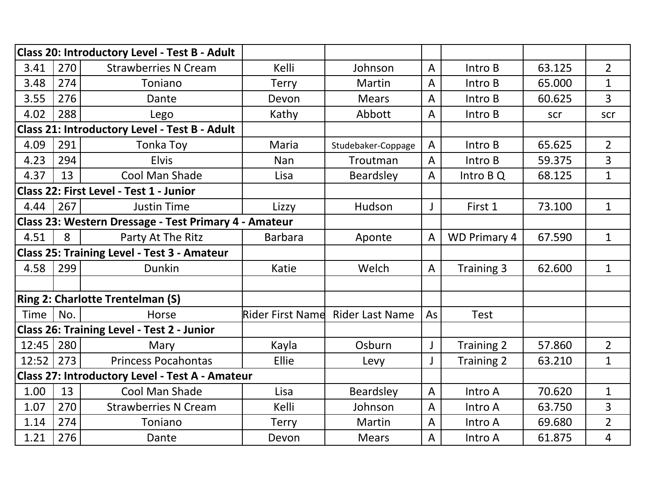|             |     | Class 20: Introductory Level - Test B - Adult         |                  |                        |                |                     |        |                |
|-------------|-----|-------------------------------------------------------|------------------|------------------------|----------------|---------------------|--------|----------------|
| 3.41        | 270 | <b>Strawberries N Cream</b>                           | Kelli            | Johnson                | $\overline{A}$ | Intro B             | 63.125 | $\overline{2}$ |
| 3.48        | 274 | Toniano                                               | <b>Terry</b>     | Martin                 | $\overline{A}$ | Intro B             | 65.000 | $\mathbf{1}$   |
| 3.55        | 276 | Dante                                                 | Devon            | <b>Mears</b>           | $\overline{A}$ | Intro B             | 60.625 | $\overline{3}$ |
| 4.02        | 288 | Lego                                                  | Kathy            | Abbott                 | A              | Intro B             | scr    | scr            |
|             |     | Class 21: Introductory Level - Test B - Adult         |                  |                        |                |                     |        |                |
| 4.09        | 291 | Tonka Toy                                             | <b>Maria</b>     | Studebaker-Coppage     | $\overline{A}$ | Intro B             | 65.625 | $\overline{2}$ |
| 4.23        | 294 | <b>Elvis</b>                                          | Nan              | Troutman               | $\overline{A}$ | Intro B             | 59.375 | 3              |
| 4.37        | 13  | Cool Man Shade                                        | Lisa             | <b>Beardsley</b>       | $\overline{A}$ | Intro B Q           | 68.125 | $\mathbf 1$    |
|             |     | Class 22: First Level - Test 1 - Junior               |                  |                        |                |                     |        |                |
| 4.44        | 267 | <b>Justin Time</b>                                    | Lizzy            | Hudson                 | J              | First 1             | 73.100 | $\mathbf 1$    |
|             |     | Class 23: Western Dressage - Test Primary 4 - Amateur |                  |                        |                |                     |        |                |
| 4.51        | 8   | Party At The Ritz                                     | <b>Barbara</b>   | Aponte                 | $\overline{A}$ | <b>WD Primary 4</b> | 67.590 | $\mathbf{1}$   |
|             |     | <b>Class 25: Training Level - Test 3 - Amateur</b>    |                  |                        |                |                     |        |                |
| 4.58        | 299 | Dunkin                                                | Katie            | Welch                  | $\overline{A}$ | Training 3          | 62.600 | $\mathbf 1$    |
|             |     |                                                       |                  |                        |                |                     |        |                |
|             |     | <b>Ring 2: Charlotte Trentelman (S)</b>               |                  |                        |                |                     |        |                |
| <b>Time</b> | No. | Horse                                                 | Rider First Name | <b>Rider Last Name</b> | As             | <b>Test</b>         |        |                |
|             |     | <b>Class 26: Training Level - Test 2 - Junior</b>     |                  |                        |                |                     |        |                |
| 12:45       | 280 | Mary                                                  | Kayla            | Osburn                 | J              | <b>Training 2</b>   | 57.860 | $\overline{2}$ |
| 12:52       | 273 | <b>Princess Pocahontas</b>                            | Ellie            | Levy                   | J              | Training 2          | 63.210 | $\mathbf 1$    |
|             |     | Class 27: Introductory Level - Test A - Amateur       |                  |                        |                |                     |        |                |
| 1.00        | 13  | Cool Man Shade                                        | Lisa             | Beardsley              | $\overline{A}$ | Intro A             | 70.620 | $\mathbf{1}$   |
| 1.07        | 270 | <b>Strawberries N Cream</b>                           | Kelli            | Johnson                | $\overline{A}$ | Intro A             | 63.750 | 3              |
| 1.14        | 274 | Toniano                                               | <b>Terry</b>     | Martin                 | $\overline{A}$ | Intro A             | 69.680 | $\overline{2}$ |
| 1.21        | 276 | Dante                                                 | Devon            | <b>Mears</b>           | $\overline{A}$ | Intro A             | 61.875 | 4              |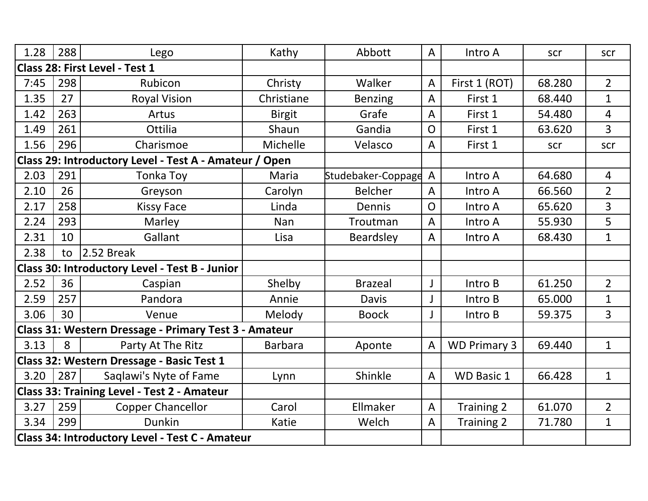| 1.28 | 288 | Lego                                                   | Kathy          | Abbott               | $\overline{A}$ | Intro A             | scr    | scr            |
|------|-----|--------------------------------------------------------|----------------|----------------------|----------------|---------------------|--------|----------------|
|      |     | Class 28: First Level - Test 1                         |                |                      |                |                     |        |                |
| 7:45 | 298 | Rubicon                                                | Christy        | Walker               | $\overline{A}$ | First 1 (ROT)       | 68.280 | $2^{\circ}$    |
| 1.35 | 27  | <b>Royal Vision</b>                                    | Christiane     | <b>Benzing</b>       | $\overline{A}$ | First 1             | 68.440 | $\mathbf 1$    |
| 1.42 | 263 | Artus                                                  | <b>Birgit</b>  | Grafe                | $\overline{A}$ | First 1             | 54.480 | 4              |
| 1.49 | 261 | Ottilia                                                | Shaun          | Gandia               | $\overline{O}$ | First 1             | 63.620 | $\overline{3}$ |
| 1.56 | 296 | Charismoe                                              | Michelle       | Velasco              | $\overline{A}$ | First 1             | scr    | scr            |
|      |     | Class 29: Introductory Level - Test A - Amateur / Open |                |                      |                |                     |        |                |
| 2.03 | 291 | Tonka Toy                                              | Maria          | Studebaker-Coppage A |                | Intro A             | 64.680 | $\overline{4}$ |
| 2.10 | 26  | Greyson                                                | Carolyn        | <b>Belcher</b>       | $\overline{A}$ | Intro A             | 66.560 | $\overline{2}$ |
| 2.17 | 258 | <b>Kissy Face</b>                                      | Linda          | Dennis               | $\mathsf{O}$   | Intro A             | 65.620 | 3              |
| 2.24 | 293 | Marley                                                 | <b>Nan</b>     | Troutman             | $\overline{A}$ | Intro A             | 55.930 | 5              |
| 2.31 | 10  | Gallant                                                | Lisa           | <b>Beardsley</b>     | $\overline{A}$ | Intro A             | 68.430 | $\mathbf{1}$   |
| 2.38 | to  | $2.52$ Break                                           |                |                      |                |                     |        |                |
|      |     | Class 30: Introductory Level - Test B - Junior         |                |                      |                |                     |        |                |
| 2.52 | 36  | Caspian                                                | Shelby         | <b>Brazeal</b>       | J              | Intro B             | 61.250 | $\overline{2}$ |
| 2.59 | 257 | Pandora                                                | Annie          | Davis                |                | Intro B             | 65.000 | $\mathbf 1$    |
| 3.06 | 30  | Venue                                                  | Melody         | <b>Boock</b>         |                | Intro B             | 59.375 | 3              |
|      |     | Class 31: Western Dressage - Primary Test 3 - Amateur  |                |                      |                |                     |        |                |
| 3.13 | 8   | Party At The Ritz                                      | <b>Barbara</b> | Aponte               | A              | <b>WD Primary 3</b> | 69.440 | $\mathbf{1}$   |
|      |     | Class 32: Western Dressage - Basic Test 1              |                |                      |                |                     |        |                |
| 3.20 | 287 | Saqlawi's Nyte of Fame                                 | Lynn           | Shinkle              | $\overline{A}$ | <b>WD Basic 1</b>   | 66.428 | $\mathbf{1}$   |
|      |     | <b>Class 33: Training Level - Test 2 - Amateur</b>     |                |                      |                |                     |        |                |
| 3.27 | 259 | <b>Copper Chancellor</b>                               | Carol          | Ellmaker             | $\overline{A}$ | <b>Training 2</b>   | 61.070 | $\overline{2}$ |
| 3.34 | 299 | <b>Dunkin</b>                                          | Katie          | Welch                | $\overline{A}$ | Training 2          | 71.780 | $\mathbf 1$    |
|      |     | Class 34: Introductory Level - Test C - Amateur        |                |                      |                |                     |        |                |